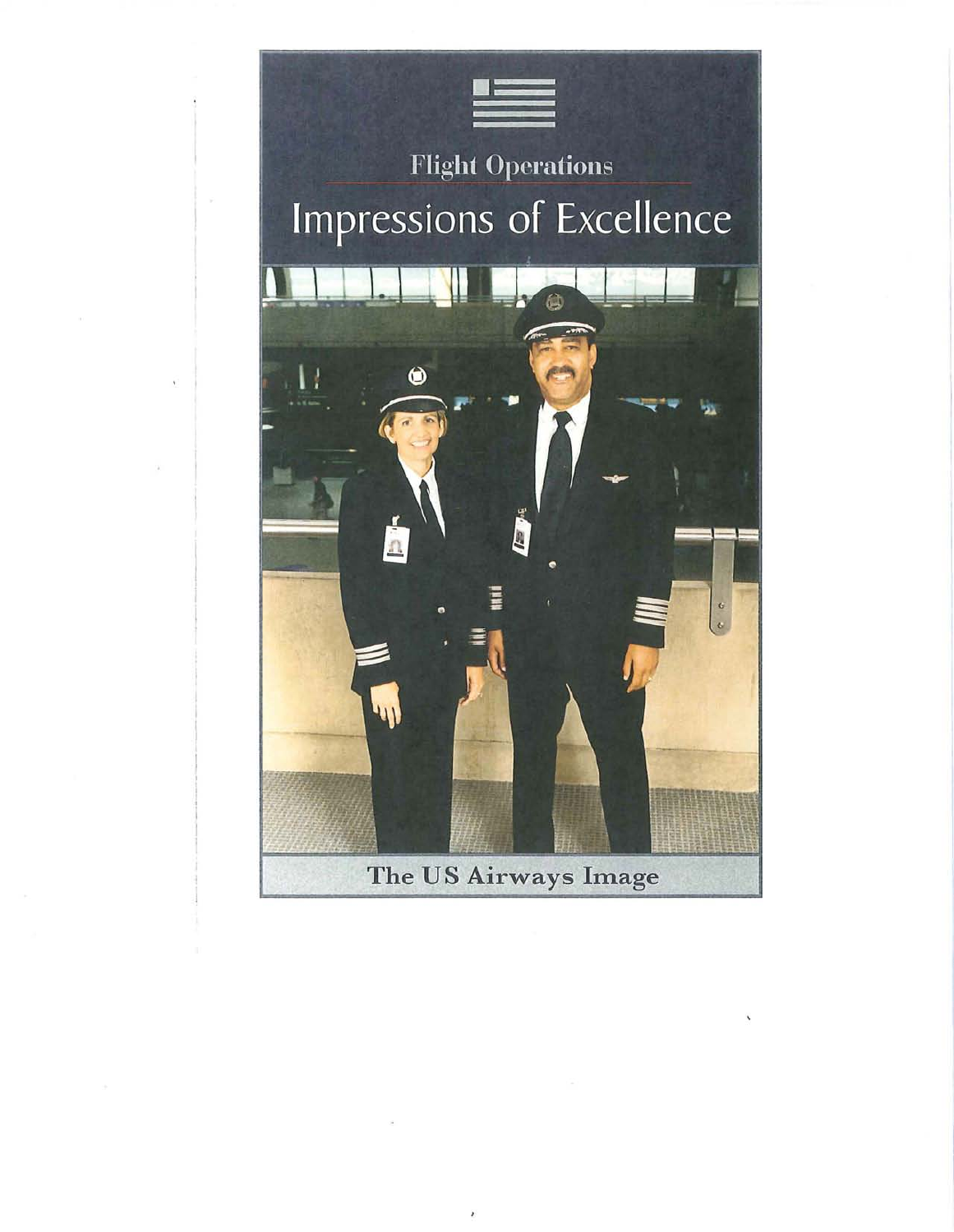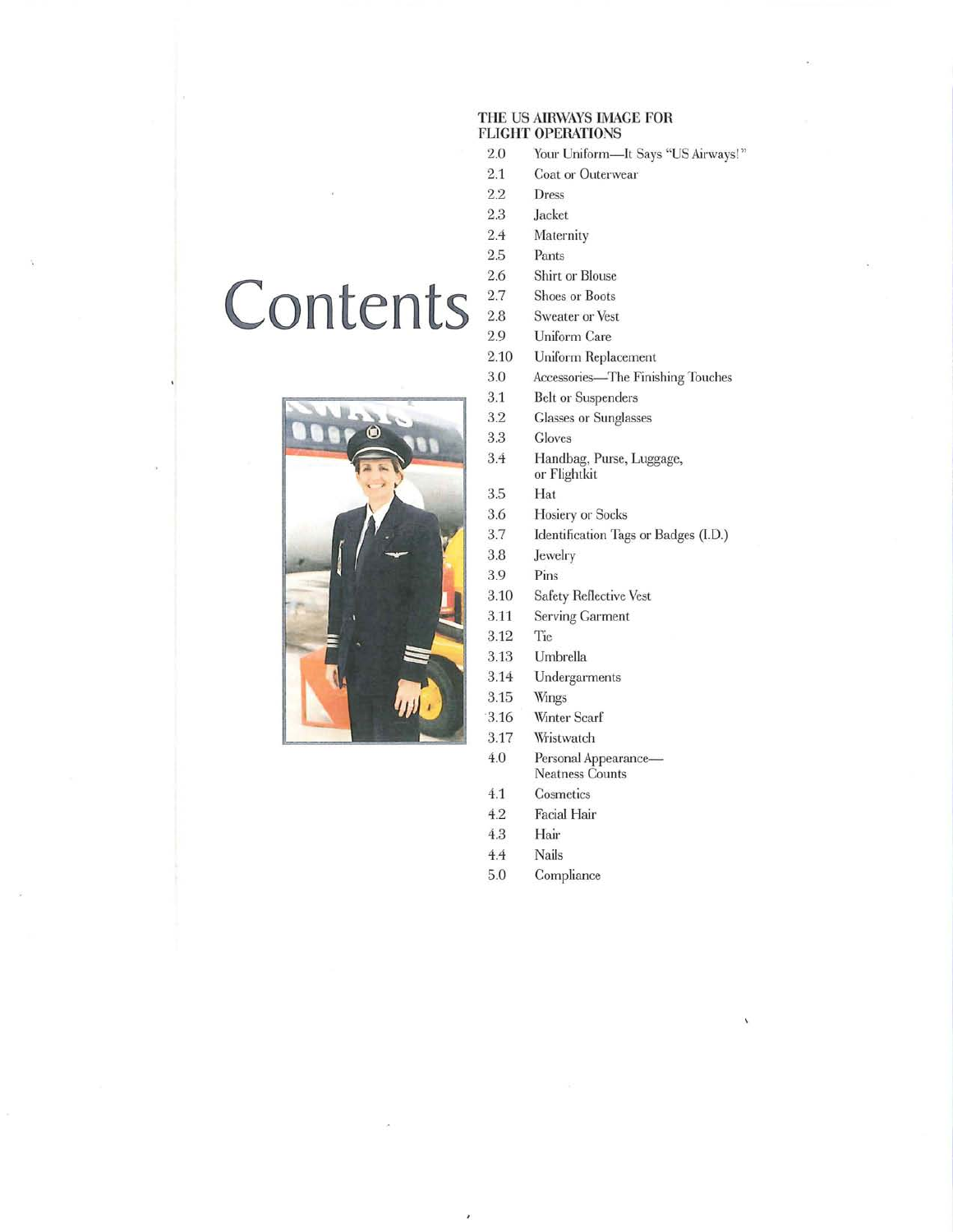# **THE US AIRWAYS IMAGE FOR FLIGHT OPERATIONS**

- 2.0 Your Uniform-It Says "US Airways!"
- 2.1 Coat or Outerwear
- 2.2 Dress
- 2.3 Jacket
- 2.4 Maternity
- 2.5 Pants
- 2.6 Shirt or Blouse
- 2.7 Shoes or Boots
- 2.8 Sweater or Vest
- Uniform Care
- 2.10 Uniform Replacement
- 3.0 Accessories-The Finishing Touches
- 3.1 Belt or Suspenders
- 3.2 Glasses or Sunglasses
- 3.3 Gloves
- 3.4 Handbag, Purse, Luggage, or Flightkit
- 3.5 Hat
- 3.6 Hosiery or Socks
- 3.7 Identification Tags or Badges (I.D.)
- 3.8 Jewelry
- 3.9 Pins
- 3.10 Safety Reflective Vest
- 3.11 Serving Garment
- 3.12 Tie
- 3.13 Umbrella
- 3.14 Undergarments
- 3.15 Wings
- 3.16 Winter Scarf
- 3.17 Wristwatch
- 4.0 Personal Appearance-Neatness Counts
- 4.1 Cosmetics
- 4.2 Facial Hair
- 4.3 Hair
- 4.4 Nails
- 5.0 Compliance

# Contents<sup>27</sup>

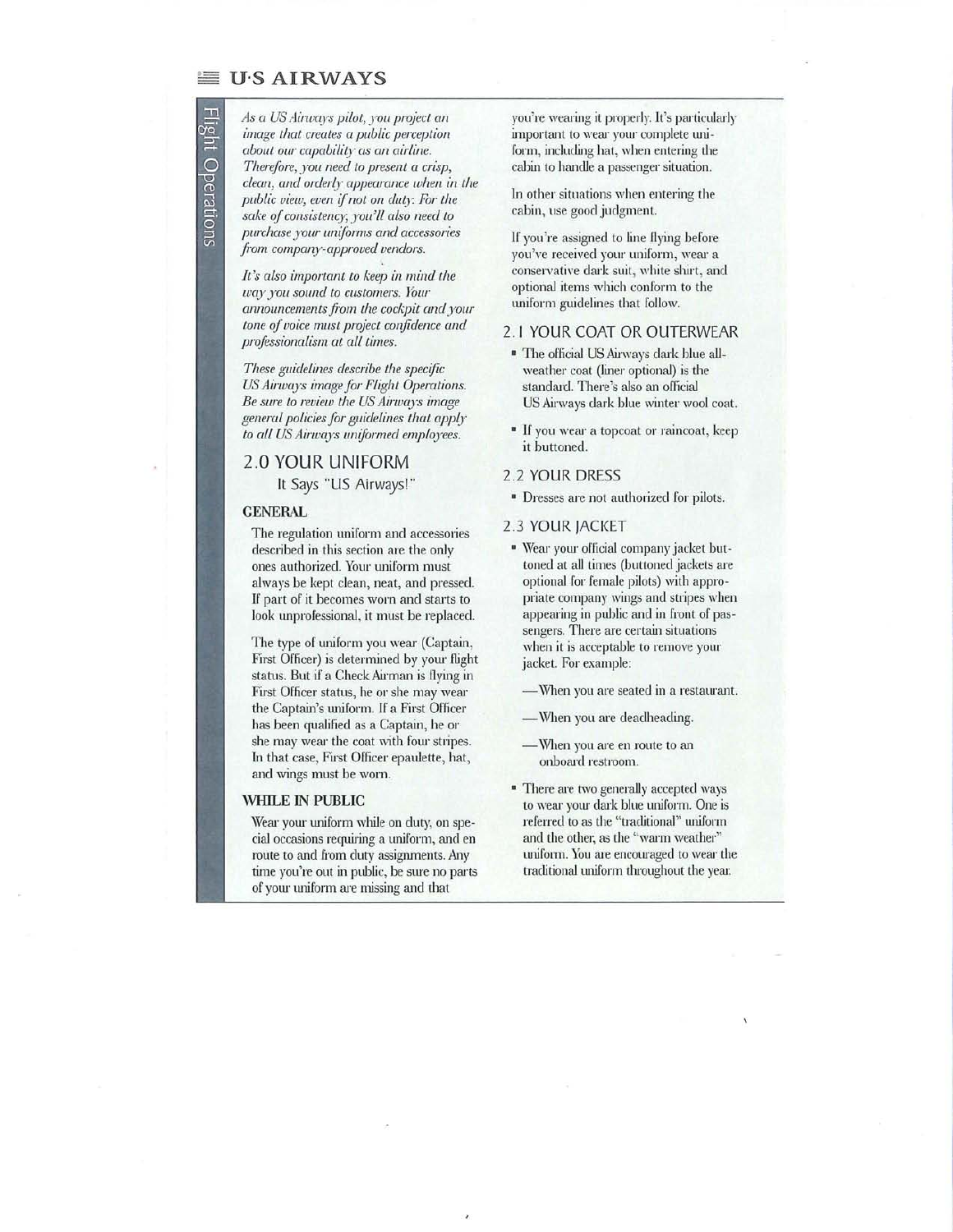# U·S AIRWAYS

扫描

**Uperations** 

*As a US Airwqys pilot, xou project an image that creates a public perception about our capabilil:y as an airline. Therefore, )'ou need to present a crisp,*   $clean$ , and orderly appearance when in the *public view, even ifnot on duty For the sake of consistenc),; )'"ou'll also need to purchase Jour unijorms and accessories*   $f$ rom company-approved vendors.

*It's also important to keep in mind the wax you sound to customers. YOllr*   $announcements from the cockpit and your$ *tone of voice must project confidence and professionalism at all times.* 

*These guidelines describe the specific US Airwq)';)' image jar FLight Operations. Be sure to review the US Airwa)'s image general policies for guidelines that aPP0" to aIL US Ainvqys uniformed employees.* 

# 2,0 **YOUR UNIFORM It** *Says* "US Airways!"

#### **GENERAL**

The regulation uniform and accessories described in this section are the only ones authorized. Your uniform must always be kept clean, neat, and pressed. If part of it becomes worn and starts to look unprofessional, it must be replaced.

The type of uniform you wear (Captain, First Officer) is determined by yom flight status. But if a Check Airman is flying in First Officer status, he or she may wear the Captain's uniform. If a First Officer has been qualified as a Captain, he or she may wear the coat with four stripes. In that case, First Officer epaulette, hat, and wings must be worn.

# **WHILE IN PUBLIC**

Wear your uniform while on duty, on special occasions requiring a uniform, and en route to and from duty assignments. Any time you're out in public, be sure no parts of your uniform are missing and that

you're wearing it properly. It's particularly important to wear your complete uniform, including hat, when entering the cabin to handle a passenger situation.

In other situations when entering the cabin, use good judgment.

If you're assigned to line flying before you've received your uniform, wear a conservative dark suit, white shirt, and optional items which conform to the uniform guidelines that follow.

# 2.1 YOUR COAT OR OUTERWEAR

- <sup>■</sup> The official US Airways dark blue allweather coat (liner optional) is the standard. There's also an official US Airways dark blue winter wool coat.
- <sup>■</sup> If you wear a topcoat or raincoat, keep **it** buttoned.

# 2.2 YOUR DRESS

<sup>■</sup> Dresses are not authorized for pilots.

# 2.3 YOUR JACKET

- <sup>■</sup> Wear your official company jacket buttoned at all times (buttoned jackets are optional for female pilots) with appropriate company wings and stripes when appearing in public and in front of passengers. There are certain situations when it is acceptable to remove your jacket. For example:
	- When you are seated in a restaurant.
	- When you are deadheading.
	- When you are en route to an onboard restroom.
- **There are two generally accepted ways** to wear yom dark blue uniform. One is referred to as the "traditional" uniform and the other, as the "warm weather" uniform. You are encouraged to wear the traditional uniform throughout the year.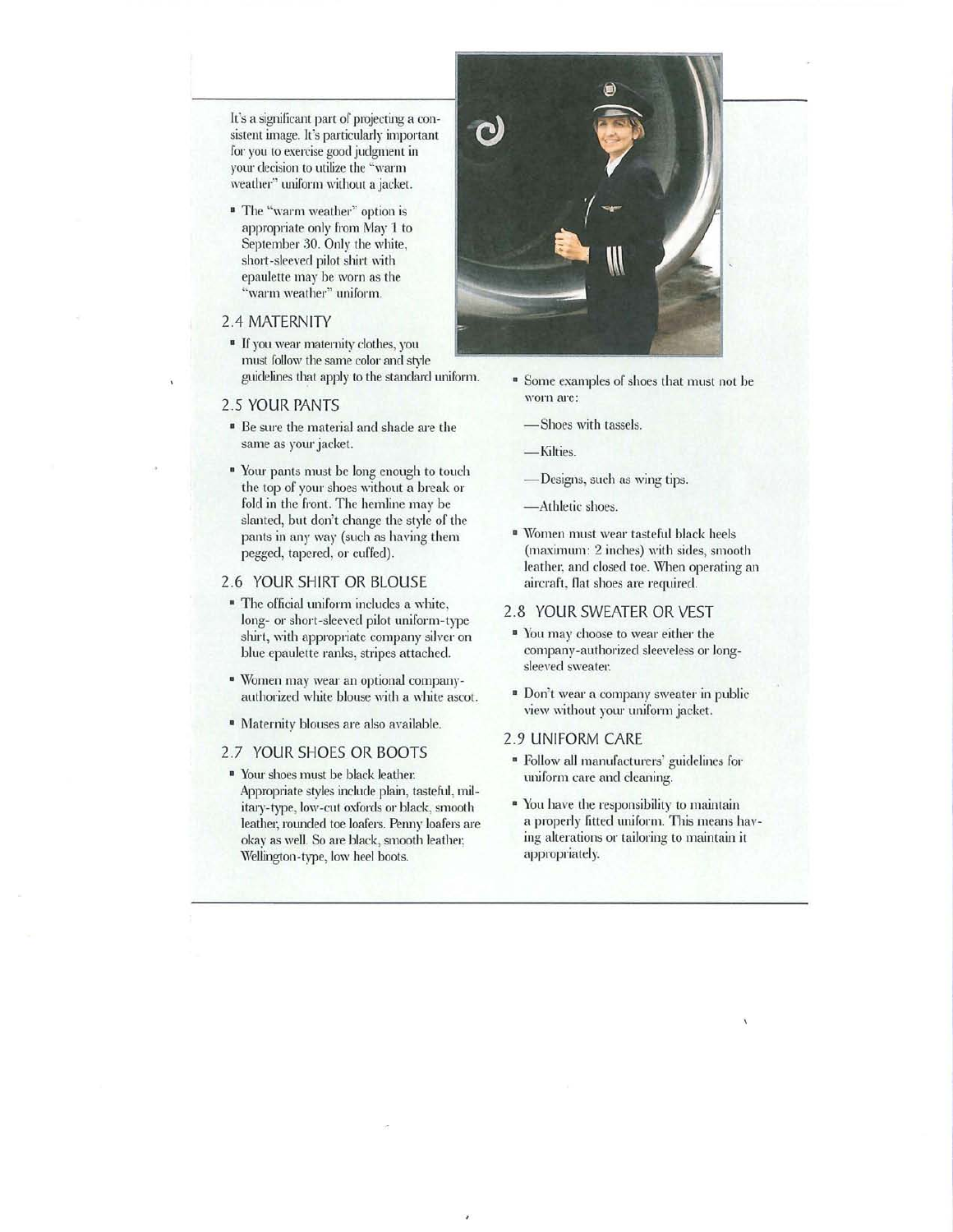It's a significant part of projecting a consistent image. It's particularly important for you to exercise good judgment in your decision to utilize the "warm weather" uniform without a jacket.

• The "warm weather" option is appropriate only from May 1 to September 30. Only the white, short-sleeved pilot shirt with epaulette may be worn as the "warm weather" uniform.

# 2.4 MATERNITY

• If you wear maternity clothes, you must follow the same color and style guidelines that apply to the standard uniform.

#### 2.5 YOUR PANTS

- Be sure the material and shade are the same as your jacket.
- <sup>■</sup> Your pants must be long enough to touch the top of your shoes without a break or fold in the front. The hemline may be slanted, but don't change the style of the pants in any way (such as having them pegged, tapered, or cuffed).

# 2.6 YOUR SHIRT OR BLOUSE

- The official uniform includes a white, long- or short-sleeved pilot uniform-type shirt, with appropriate company silver on blue epaulette ranks, stripes attached.
- <sup>■</sup> Women may wear an optional companyauthorized white blouse with a white ascot.
- Maternity blouses me also available.

# 2.7 YOUR SHOES OR BOOTS

<sup>•</sup> Your shoes must be black leather: Appropriate styles include plain, tasteful, military-type, low-cut oxfords or black, smooth leather, rounded toe loafers. Penny loafers are okay as well. So are black, smooth leather, Wellington-type, low heel boots.



- <sup>■</sup> Some examples of shoes that must not be worn are:
	- -Shoes with tassels.

-Kilties.

- -Designs, such as wing tips.
- -Athletic shoes.
- \Vomen must wear tasteful black heels (maximum: 2 inches) with sides, smooth leather, and closed toe. When operating an aircraft, flat shoes are required.

# 2.8 YOUR SWEATER OR VEST

- <sup>■</sup> You may choose to wear either the company-authorized sleeveless or longsleeyed sweater.
- " Don't wear a company sweater in public view without your uniform jacket.
- 2.9 UNIFORM CARE
- Follow all manufacturers' guidelines for uniform care and cleaning.
- <sup>•</sup> You have the responsibility to maintain a properly fitted uniform. This means having alterations or tailoring to maintain it appropriately.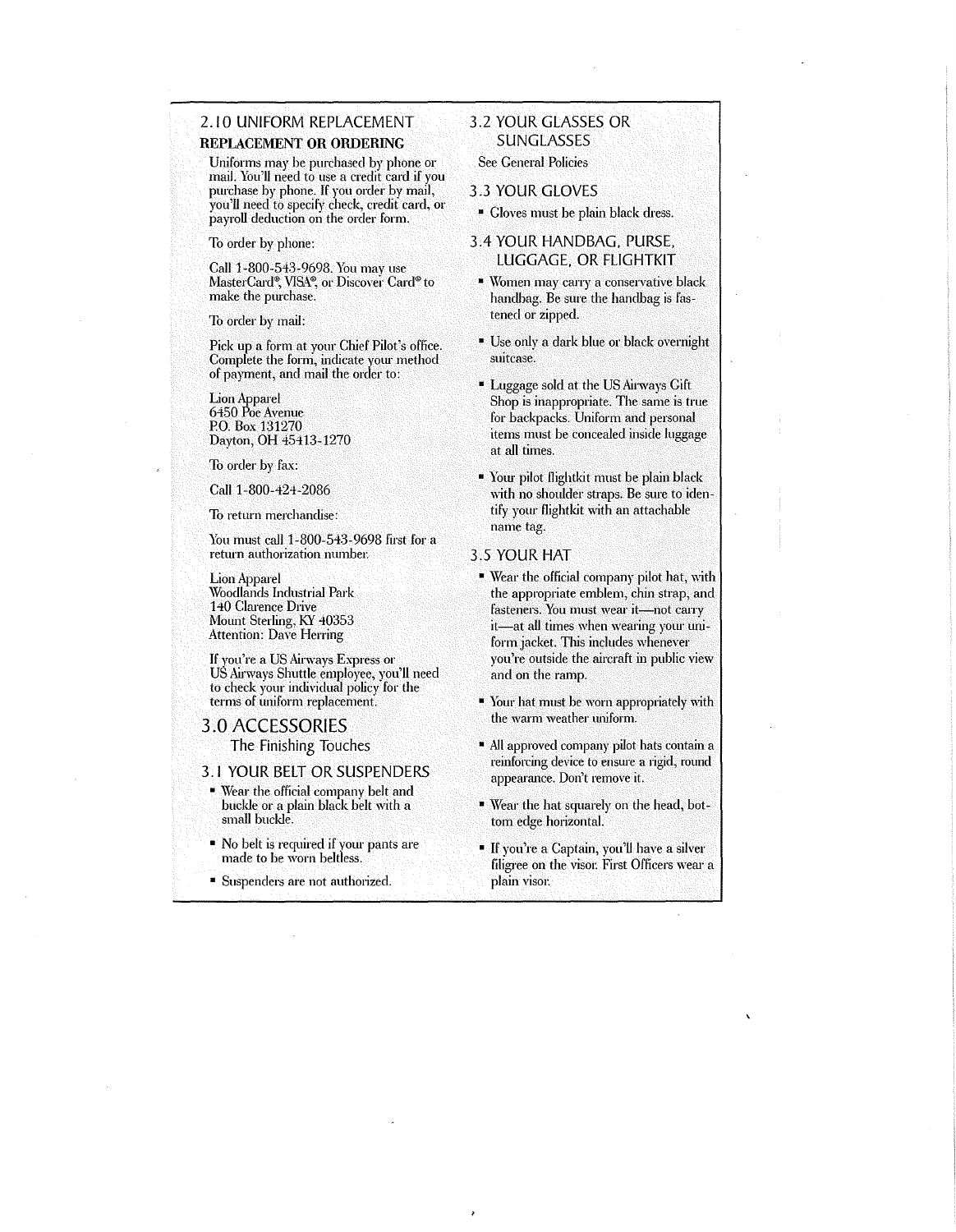# 2.10 UNIFORM REPLACEMENT REPLACEMENT OR ORDERING

Uniforms may be purchased by phone or mail. You'll need to use a credit card if you purchase by phone. If you order by mail, you'll need to specify check, credit card, or payroll deduction on the order form.

To order by phone:

Call 1-800-543-9698. You may use MasterCard®, VISA®, or Discover Card® to make the purchase.

To order by mail:

Pick up a form at your Chief Pilot's office. Complete the form, indicate your method of payment, and mail the order to:  $\overline{\phantom{a}}$ 

Lion Apparel 6450 Poe Avenue P.O. Box 131270 Dayton, OH 45413-1270

To order by fax:

Call 1-800-424-2086

To return merchandise:

You must call 1-800-543-9698 first for a return authorization munher.

Lion Apparel Woodlands Industrial Park 140 Clarence Drive Mount Sterling, KY 40353 Attention: Dave Herring

If you're a US Airways Express or US Airways Shuttle employee, you'll need to check your individual policy for the terms of uniform replacement.

#### 3.0 ACCESSORIES

The Finishing Touches

3.1 YOUR BELT OR SUSPENDERS

- Wear the official company belt and buckle or a plain black belt with a small buckle.
- No belt is required if your pants are made to be worn belt/ess.
- Suspenders are not authorized.

# 3.2 YOUR GLASSES OR **SUNGLASSES**

See General Policies

- 3.3 YOUR GLOVES
- Gloves must be plain black dress.

# 3.4 YOUR HANDBAG. PURSE. LUGGAGE. OR FLlGHTKIT

- **Women may carry a conservative black** handbag. Be sure the handbag is fastened or zipped.
- Use only a dark blue or black overnight suitcase.
- Luggage sold at the US Airways Gift Shop is inappropriate. The same is true for backpacks. Uniform and personal items must be concealed inside luggage at all times.
- Your pilot Ilightkit must be plain black with no shoulder straps. Be sure to identify yow' Ilightkit with an attachable name tag.

### 3.5 YOUR HAT

- Wear the official company pilot hat, with the appropriate emblem, chin strap, and fasteners. You must wear it-not carry it-at all times when wearing your uniform jacket. This includes whenever you're outside the aircraft in public view and on the ramp.
- Your hat must be worn appropriately with the warm weather uniform.
- All approved company pilot hats contain a reinforcing device to ensure a rigid, round appearance. Don't remove it.
- Wear the hat squarely on the head, bottom edge horizontal.
- If you're a Captain, you'll have a silver filigree on the visor. First Officers wear a plain visor.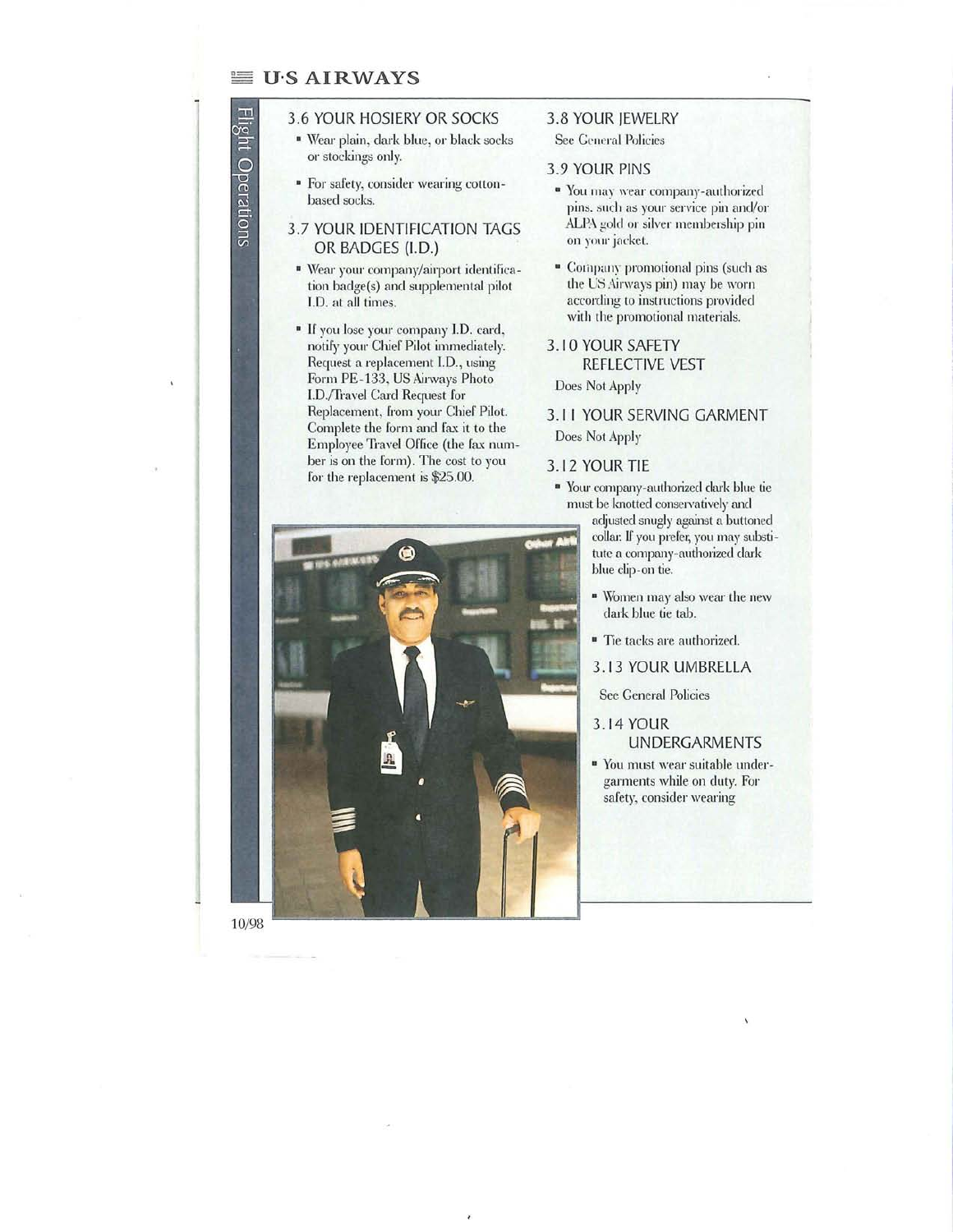# $\equiv$  U.S AIRWAYS

perations

# 3.6 YOUR HOSIERY OR SOCKS

- <sup>■</sup> Wear plain, dark blue, or black socks or stockings only.
- For safety, consider wearing cottonbased socks.

# 3.7 YOUR IDENTIFICATION TAGS OR BADGES (1.0.)

- " Wear your company/airport identification badge(s) and supplemental pilot J.D. at all times.
- <sup>■</sup> If you lose your company I.D. card, notify your Chief Pilot immediately. Request a replacement l.D., using Form PE-133, US Airways Photo I.D./Travel Card Request for Replacement, from your Chief Pilot. Complete the form and fax it to the Employee Travel Office (the fax number is on the form). The cost to you for the replacement is \$25.00.

# 3.8 YOUR IEWELRY

See General Policies

# 3.9 YOUR PINS

- <sup>■</sup> You may wear company-authorized pins. such as your service pin and/or ALPA gold or silver membership pin on your jacket.
- <sup>■</sup> Company promotional pins (such as the US Airways pin) may be worn according to instructions provided with the promotional materials.
- 3.10 YOUR SAFETY REFLECTIVE VEST Does Not Apply

# 3. I I YOUR SERVING GARMENT Does Not Apply

# 3.12 YOUR TIE

- <sup>•</sup> Your company-authorized dark blue tie must be knotted conservatively and adjusted snugly against a buttoned collar. If you prefer, you may substitute a company-authorized dark blue clip-on tie.
	- " Women may also wear the new dark blue tie tab.
	- Tie tacks are authorized.

3.13 YOUR UMBRELLA

See General Policies

- 3.14 YOUR UNDERGARMENTS
- <sup>■</sup> You must wear suitable undergarments while on duty. For safety, consider wearing

10/98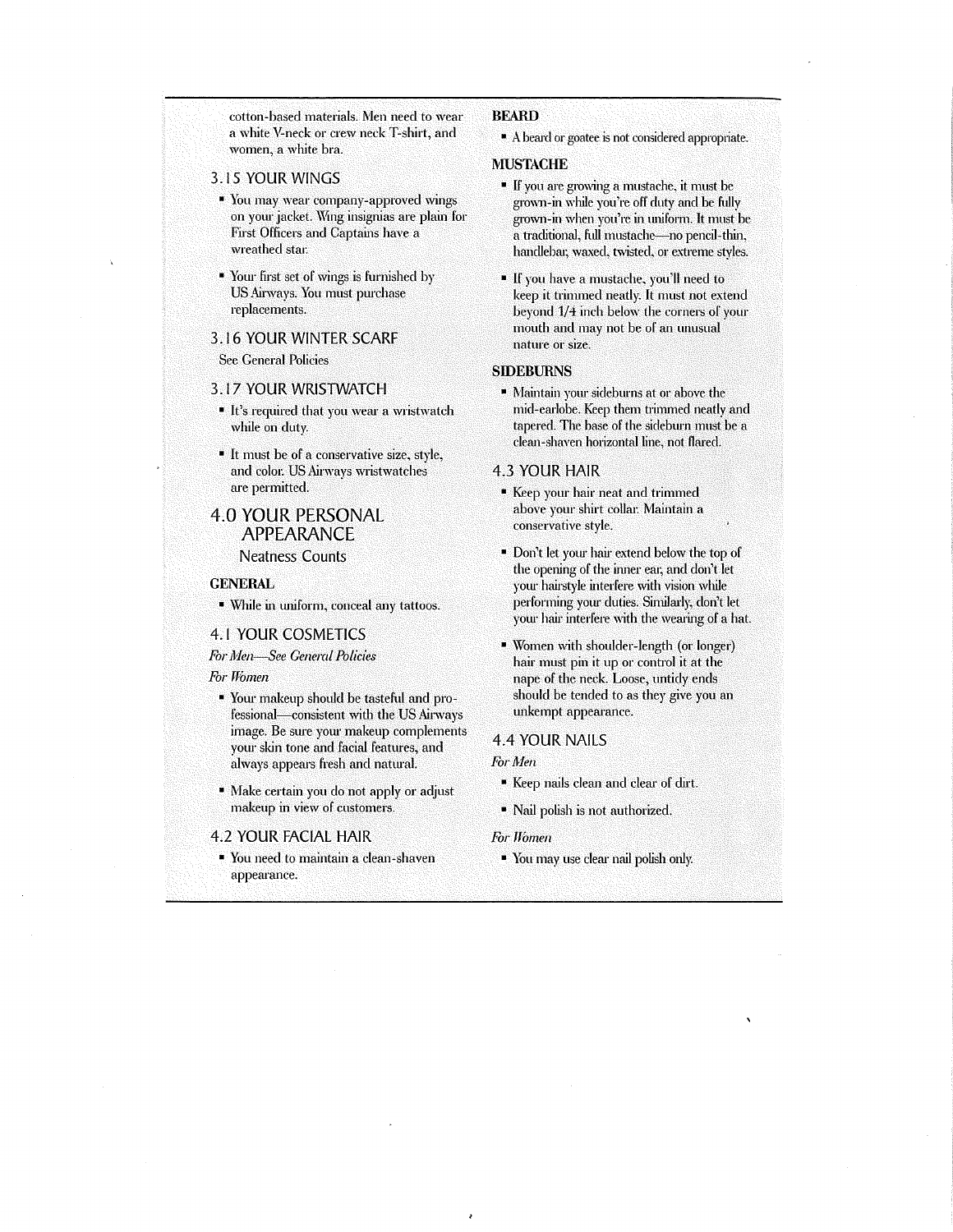cotton-based materials, Men need to wear a white V-neck or crew neck T-shirt, and women, a white bra,

- 3,15 YOUR WINGS
	- You may wear company-approved wings on yom' jacket. Wing insignias are plain for First Officers and Captains have a wreathed star.
- Your first set of wings is furnished by US Airways. You must purchase replacements,

# 3,16 YOUR WINTER SCARF

See General Policies

# 3.17 YOUR WRISTWATCH

- It's required that you wear a wristwatch while on duty,
- It must be of a conservative size, style, and color. US Airways wristwatches are permitted.

# 4.0 YOUR PERSONAL APPEARANCE Neatness Counts

#### **GENERAL**

• While in uniform, conceal any tattoos.

# 4.1 YOUR COSMETICS

*For Men-See General Policies* 

*For Women* 

- Your makeup should be tasteful and professional-consistent with the US Airways image. Be sure your makeup complements your skin tone and facial features, and always appears fresh and natural.
- Make certain you do not apply or adjust makeup in view of customers.

#### 4.2 YOUR FACIAL HAIR

• You need to maintain a clean-shaven appearance.

# **BEARD**

• A beard or goatee is not considered appropriate,

# **MUSTACHE**

- If you are growing a mustache, it must be grown-in while you're off duty and be frdly grown-in when you're in uniform. It must be a traditional, full mustache--no pencil-thin, handlebar, waxed, twisted, or extreme styles.
- If you have a mustache, you'll need to keep it trimmed neatly, It must not extend beyond 1/4 inch below the corners of your mouth and may not be of an unusual nature or size,

### SIDEBURNS

• Maintain yom sidebmns at or above the mid-earlobe. Keep them trimmed neatly and tapered, The base of the sideburn must be a clean-shaven horizontal line, not flared.

# 4.3 YOUR HAIR

- Keep your hair neat and trimmed above your shirt collar. Maintain a conservative style,
- Don't let your hair extend below the top of the opening of the inner ear, and don't let your hairstyle interfere with vision while performing your duties. Similarly, don't let your hair interfere with the wearing of a hat.
- Women with shoulder-length (or longer) hair must pin it up or control it at the nape of the neck. Loose, untidy ends should be tended to as they give you an unkempt appearance,

# 4.4 YOUR NAILS

*For Men* 

- Keep nails clean and clear of dirt.
- Nail polish is not authorized,

#### *For Tfomen*

 $\blacksquare$  You may use clear nail polish only,